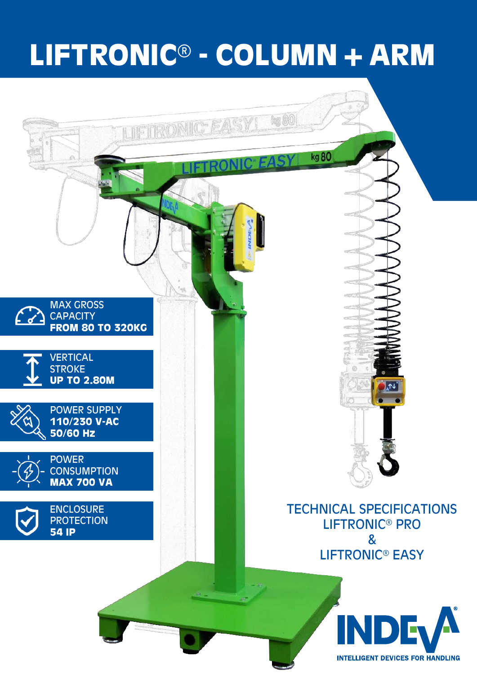# **LIFTRONIC® - COLUMN+ARM**